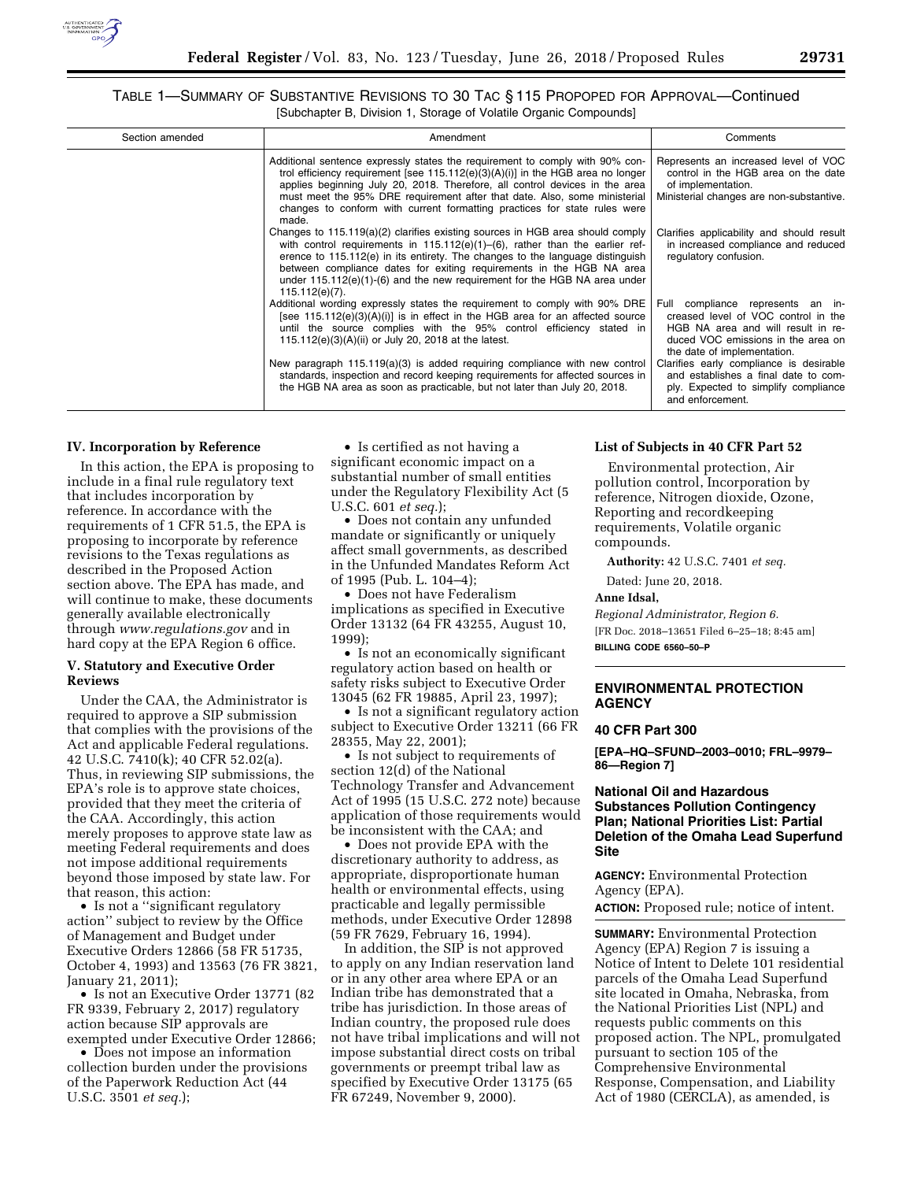

# TABLE 1—SUMMARY OF SUBSTANTIVE REVISIONS TO 30 TAC § 115 PROPOPED FOR APPROVAL—Continued [Subchapter B, Division 1, Storage of Volatile Organic Compounds]

| Section amended | Amendment                                                                                                                                                                                                                                                                                                                                                                                                                         | Comments                                                                                                                                                                            |
|-----------------|-----------------------------------------------------------------------------------------------------------------------------------------------------------------------------------------------------------------------------------------------------------------------------------------------------------------------------------------------------------------------------------------------------------------------------------|-------------------------------------------------------------------------------------------------------------------------------------------------------------------------------------|
|                 | Additional sentence expressly states the requirement to comply with 90% con-<br>trol efficiency requirement [see $115.112(e)(3)(A)(i)$ ] in the HGB area no longer<br>applies beginning July 20, 2018. Therefore, all control devices in the area<br>must meet the 95% DRE requirement after that date. Also, some ministerial<br>changes to conform with current formatting practices for state rules were<br>made.              | Represents an increased level of VOC<br>control in the HGB area on the date<br>of implementation.<br>Ministerial changes are non-substantive.                                       |
|                 | Changes to $115.119(a)(2)$ clarifies existing sources in HGB area should comply<br>with control requirements in $115.112(e)(1)$ –(6), rather than the earlier ref-<br>erence to $115.112(e)$ in its entirety. The changes to the language distinguish<br>between compliance dates for exiting requirements in the HGB NA area<br>under $115.112(e)(1)-(6)$ and the new requirement for the HGB NA area under<br>$115.112(e)(7)$ . | Clarifies applicability and should result<br>in increased compliance and reduced<br>regulatory confusion.                                                                           |
|                 | Additional wording expressly states the requirement to comply with 90% DRE<br>[see 115.112(e)(3)(A)(i)] is in effect in the HGB area for an affected source<br>until the source complies with the 95% control efficiency stated in<br>115.112(e)(3)(A)(ii) or July 20, 2018 at the latest.                                                                                                                                        | Full compliance represents an in-<br>creased level of VOC control in the<br>HGB NA area and will result in re-<br>duced VOC emissions in the area on<br>the date of implementation. |
|                 | New paragraph $115.119(a)(3)$ is added requiring compliance with new control<br>standards, inspection and record keeping requirements for affected sources in<br>the HGB NA area as soon as practicable, but not later than July 20, 2018.                                                                                                                                                                                        | Clarifies early compliance is desirable<br>and establishes a final date to com-<br>ply. Expected to simplify compliance<br>and enforcement.                                         |

#### **IV. Incorporation by Reference**

In this action, the EPA is proposing to include in a final rule regulatory text that includes incorporation by reference. In accordance with the requirements of 1 CFR 51.5, the EPA is proposing to incorporate by reference revisions to the Texas regulations as described in the Proposed Action section above. The EPA has made, and will continue to make, these documents generally available electronically through *[www.regulations.gov](http://www.regulations.gov)* and in hard copy at the EPA Region 6 office.

## **V. Statutory and Executive Order Reviews**

Under the CAA, the Administrator is required to approve a SIP submission that complies with the provisions of the Act and applicable Federal regulations. 42 U.S.C. 7410(k); 40 CFR 52.02(a). Thus, in reviewing SIP submissions, the EPA's role is to approve state choices, provided that they meet the criteria of the CAA. Accordingly, this action merely proposes to approve state law as meeting Federal requirements and does not impose additional requirements beyond those imposed by state law. For that reason, this action:

• Is not a ''significant regulatory action'' subject to review by the Office of Management and Budget under Executive Orders 12866 (58 FR 51735, October 4, 1993) and 13563 (76 FR 3821, January 21, 2011);

• Is not an Executive Order 13771 (82 FR 9339, February 2, 2017) regulatory action because SIP approvals are exempted under Executive Order 12866;

• Does not impose an information collection burden under the provisions of the Paperwork Reduction Act (44 U.S.C. 3501 *et seq.*);

• Is certified as not having a significant economic impact on a substantial number of small entities under the Regulatory Flexibility Act (5 U.S.C. 601 *et seq.*);

• Does not contain any unfunded mandate or significantly or uniquely affect small governments, as described in the Unfunded Mandates Reform Act of 1995 (Pub. L. 104–4);

• Does not have Federalism implications as specified in Executive Order 13132 (64 FR 43255, August 10, 1999);

• Is not an economically significant regulatory action based on health or safety risks subject to Executive Order 13045 (62 FR 19885, April 23, 1997);

• Is not a significant regulatory action subject to Executive Order 13211 (66 FR 28355, May 22, 2001);

• Is not subject to requirements of section 12(d) of the National Technology Transfer and Advancement Act of 1995 (15 U.S.C. 272 note) because application of those requirements would be inconsistent with the CAA; and

• Does not provide EPA with the discretionary authority to address, as appropriate, disproportionate human health or environmental effects, using practicable and legally permissible methods, under Executive Order 12898 (59 FR 7629, February 16, 1994).

In addition, the SIP is not approved to apply on any Indian reservation land or in any other area where EPA or an Indian tribe has demonstrated that a tribe has jurisdiction. In those areas of Indian country, the proposed rule does not have tribal implications and will not impose substantial direct costs on tribal governments or preempt tribal law as specified by Executive Order 13175 (65 FR 67249, November 9, 2000).

#### **List of Subjects in 40 CFR Part 52**

Environmental protection, Air pollution control, Incorporation by reference, Nitrogen dioxide, Ozone, Reporting and recordkeeping requirements, Volatile organic compounds.

**Authority:** 42 U.S.C. 7401 *et seq.* 

Dated: June 20, 2018.

# **Anne Idsal,**

*Regional Administrator, Region 6.*  [FR Doc. 2018–13651 Filed 6–25–18; 8:45 am] **BILLING CODE 6560–50–P** 

# **ENVIRONMENTAL PROTECTION AGENCY**

#### **40 CFR Part 300**

**[EPA–HQ–SFUND–2003–0010; FRL–9979– 86—Region 7]** 

# **National Oil and Hazardous Substances Pollution Contingency Plan; National Priorities List: Partial Deletion of the Omaha Lead Superfund Site**

**AGENCY:** Environmental Protection Agency (EPA).

**ACTION:** Proposed rule; notice of intent.

**SUMMARY:** Environmental Protection Agency (EPA) Region 7 is issuing a Notice of Intent to Delete 101 residential parcels of the Omaha Lead Superfund site located in Omaha, Nebraska, from the National Priorities List (NPL) and requests public comments on this proposed action. The NPL, promulgated pursuant to section 105 of the Comprehensive Environmental Response, Compensation, and Liability Act of 1980 (CERCLA), as amended, is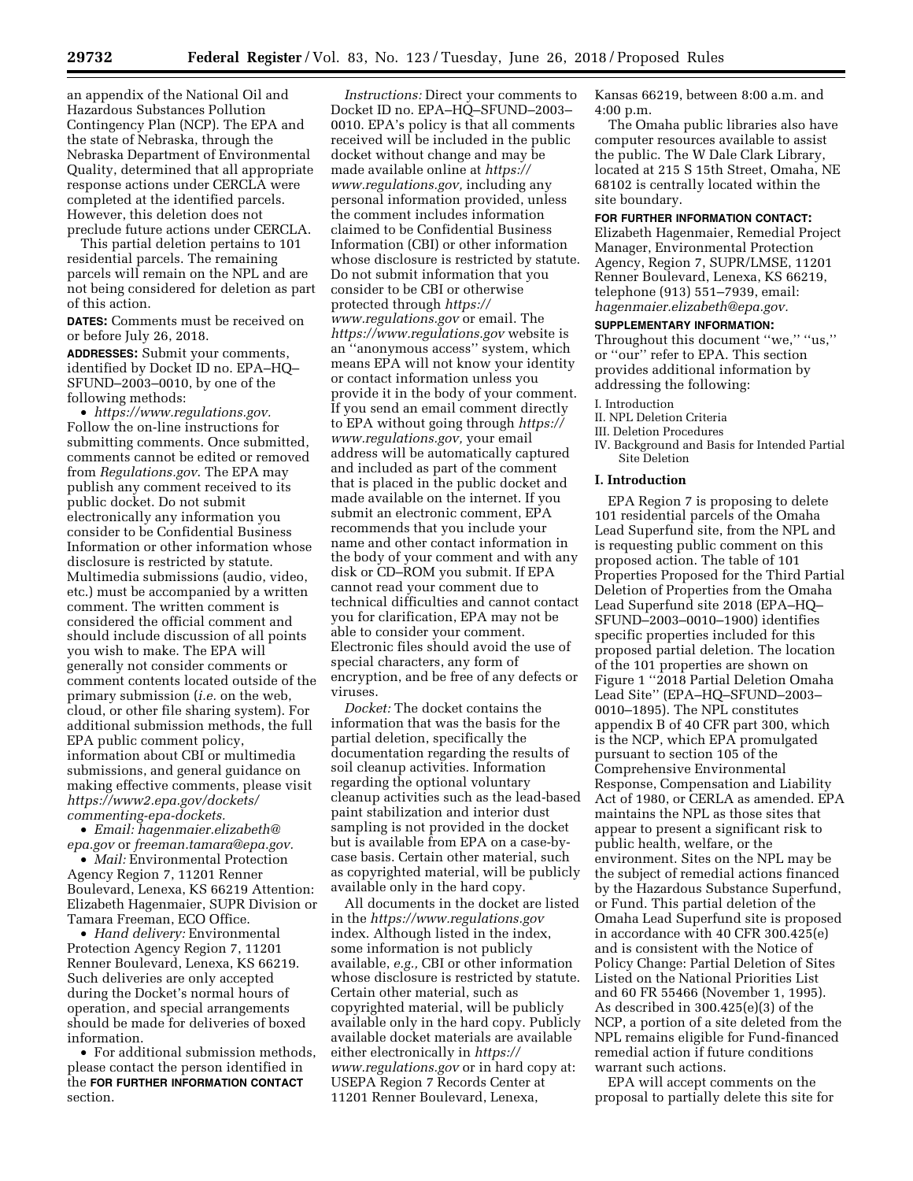an appendix of the National Oil and Hazardous Substances Pollution Contingency Plan (NCP). The EPA and the state of Nebraska, through the Nebraska Department of Environmental Quality, determined that all appropriate response actions under CERCLA were completed at the identified parcels. However, this deletion does not preclude future actions under CERCLA.

This partial deletion pertains to 101 residential parcels. The remaining parcels will remain on the NPL and are not being considered for deletion as part of this action.

**DATES:** Comments must be received on or before July 26, 2018.

**ADDRESSES:** Submit your comments, identified by Docket ID no. EPA–HQ– SFUND–2003–0010, by one of the following methods:

• *[https://www.regulations.gov.](https://www.regulations.gov)*  Follow the on-line instructions for submitting comments. Once submitted, comments cannot be edited or removed from *Regulations.gov*. The EPA may publish any comment received to its public docket. Do not submit electronically any information you consider to be Confidential Business Information or other information whose disclosure is restricted by statute. Multimedia submissions (audio, video, etc.) must be accompanied by a written comment. The written comment is considered the official comment and should include discussion of all points you wish to make. The EPA will generally not consider comments or comment contents located outside of the primary submission (*i.e.* on the web, cloud, or other file sharing system). For additional submission methods, the full EPA public comment policy, information about CBI or multimedia submissions, and general guidance on making effective comments, please visit *[https://www2.epa.gov/dockets/](https://www2.epa.gov/dockets/commenting-epa-dockets)  [commenting-epa-dockets.](https://www2.epa.gov/dockets/commenting-epa-dockets)* 

• *Email: [hagenmaier.elizabeth@](mailto:hagenmaier.elizabeth@epa.gov) [epa.gov](mailto:hagenmaier.elizabeth@epa.gov)* or *[freeman.tamara@epa.gov.](mailto:freeman.tamara@epa.gov)* 

• *Mail:* Environmental Protection Agency Region 7, 11201 Renner Boulevard, Lenexa, KS 66219 Attention: Elizabeth Hagenmaier, SUPR Division or Tamara Freeman, ECO Office.

• *Hand delivery:* Environmental Protection Agency Region 7, 11201 Renner Boulevard, Lenexa, KS 66219. Such deliveries are only accepted during the Docket's normal hours of operation, and special arrangements should be made for deliveries of boxed information.

• For additional submission methods, please contact the person identified in the **FOR FURTHER INFORMATION CONTACT** section.

*Instructions:* Direct your comments to Docket ID no. EPA–HQ–SFUND–2003– 0010. EPA's policy is that all comments received will be included in the public docket without change and may be made available online at *[https://](https://www.regulations.gov) [www.regulations.gov,](https://www.regulations.gov)* including any personal information provided, unless the comment includes information claimed to be Confidential Business Information (CBI) or other information whose disclosure is restricted by statute. Do not submit information that you consider to be CBI or otherwise protected through *[https://](https://www.regulations.gov) [www.regulations.gov](https://www.regulations.gov)* or email. The *<https://www.regulations.gov>* website is an ''anonymous access'' system, which means EPA will not know your identity or contact information unless you provide it in the body of your comment. If you send an email comment directly to EPA without going through *[https://](https://www.regulations.gov) [www.regulations.gov,](https://www.regulations.gov)* your email address will be automatically captured and included as part of the comment that is placed in the public docket and made available on the internet. If you submit an electronic comment, EPA recommends that you include your name and other contact information in the body of your comment and with any disk or CD–ROM you submit. If EPA cannot read your comment due to technical difficulties and cannot contact you for clarification, EPA may not be able to consider your comment. Electronic files should avoid the use of special characters, any form of encryption, and be free of any defects or viruses.

*Docket:* The docket contains the information that was the basis for the partial deletion, specifically the documentation regarding the results of soil cleanup activities. Information regarding the optional voluntary cleanup activities such as the lead-based paint stabilization and interior dust sampling is not provided in the docket but is available from EPA on a case-bycase basis. Certain other material, such as copyrighted material, will be publicly available only in the hard copy.

All documents in the docket are listed in the *<https://www.regulations.gov>* index. Although listed in the index, some information is not publicly available, *e.g.,* CBI or other information whose disclosure is restricted by statute. Certain other material, such as copyrighted material, will be publicly available only in the hard copy. Publicly available docket materials are available either electronically in *[https://](https://www.regulations.gov) [www.regulations.gov](https://www.regulations.gov)* or in hard copy at: USEPA Region 7 Records Center at 11201 Renner Boulevard, Lenexa,

Kansas 66219, between 8:00 a.m. and 4:00 p.m.

The Omaha public libraries also have computer resources available to assist the public. The W Dale Clark Library, located at 215 S 15th Street, Omaha, NE 68102 is centrally located within the site boundary.

# **FOR FURTHER INFORMATION CONTACT:**

Elizabeth Hagenmaier, Remedial Project Manager, Environmental Protection Agency, Region 7, SUPR/LMSE, 11201 Renner Boulevard, Lenexa, KS 66219, telephone (913) 551–7939, email: *[hagenmaier.elizabeth@epa.gov.](mailto:hagenmaier.elizabeth@epa.gov)* 

#### **SUPPLEMENTARY INFORMATION:**

Throughout this document ''we,'' ''us,'' or ''our'' refer to EPA. This section provides additional information by addressing the following:

#### I. Introduction

- II. NPL Deletion Criteria
- III. Deletion Procedures
- IV. Background and Basis for Intended Partial Site Deletion

#### **I. Introduction**

EPA Region 7 is proposing to delete 101 residential parcels of the Omaha Lead Superfund site, from the NPL and is requesting public comment on this proposed action. The table of 101 Properties Proposed for the Third Partial Deletion of Properties from the Omaha Lead Superfund site 2018 (EPA–HQ– SFUND–2003–0010–1900) identifies specific properties included for this proposed partial deletion. The location of the 101 properties are shown on Figure 1 ''2018 Partial Deletion Omaha Lead Site'' (EPA–HQ–SFUND–2003– 0010–1895). The NPL constitutes appendix B of 40 CFR part 300, which is the NCP, which EPA promulgated pursuant to section 105 of the Comprehensive Environmental Response, Compensation and Liability Act of 1980, or CERLA as amended. EPA maintains the NPL as those sites that appear to present a significant risk to public health, welfare, or the environment. Sites on the NPL may be the subject of remedial actions financed by the Hazardous Substance Superfund, or Fund. This partial deletion of the Omaha Lead Superfund site is proposed in accordance with 40 CFR 300.425(e) and is consistent with the Notice of Policy Change: Partial Deletion of Sites Listed on the National Priorities List and 60 FR 55466 (November 1, 1995). As described in 300.425(e)(3) of the NCP, a portion of a site deleted from the NPL remains eligible for Fund-financed remedial action if future conditions warrant such actions.

EPA will accept comments on the proposal to partially delete this site for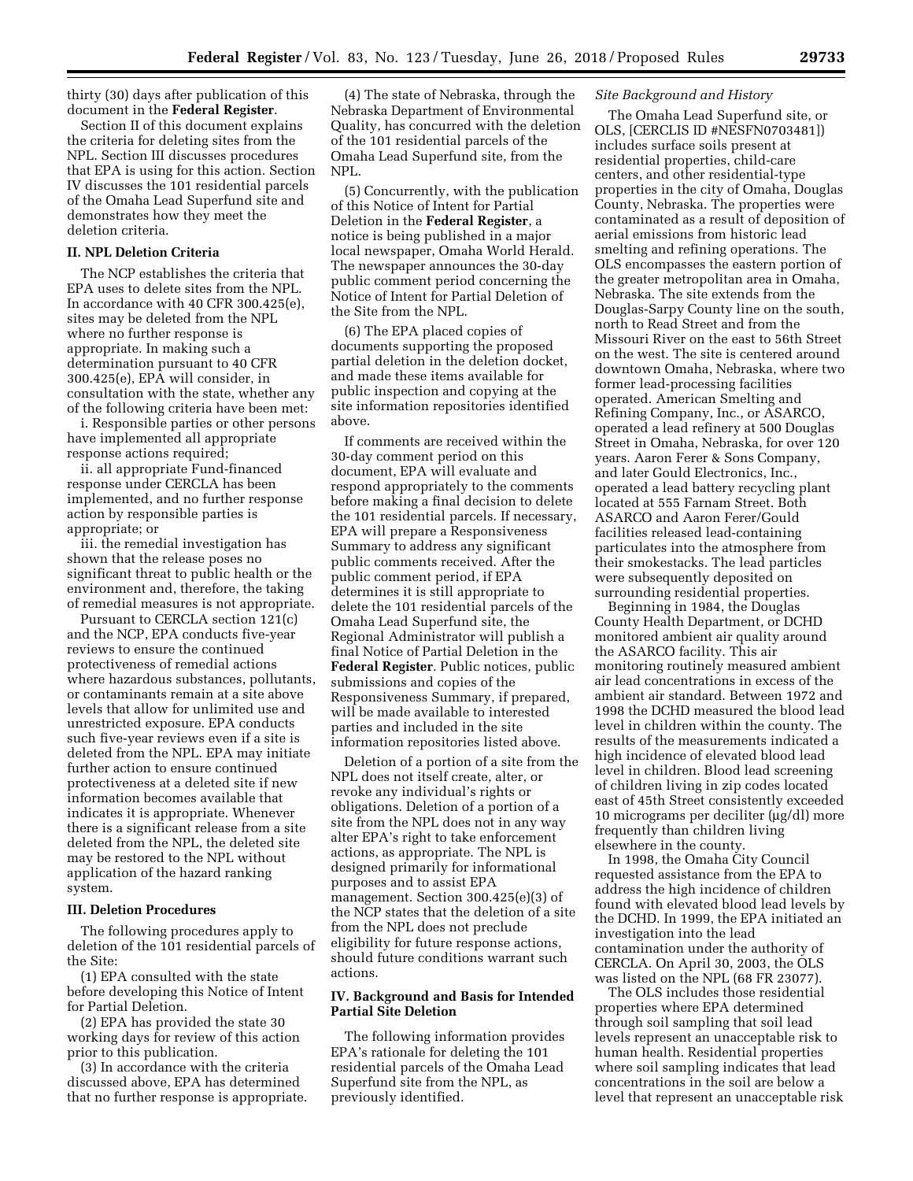thirty (30) days after publication of this document in the **Federal Register**.

Section II of this document explains the criteria for deleting sites from the NPL. Section III discusses procedures that EPA is using for this action. Section IV discusses the 101 residential parcels of the Omaha Lead Superfund site and demonstrates how they meet the deletion criteria.

# **II. NPL Deletion Criteria**

The NCP establishes the criteria that EPA uses to delete sites from the NPL. In accordance with 40 CFR 300.425(e), sites may be deleted from the NPL where no further response is appropriate. In making such a determination pursuant to 40 CFR 300.425(e), EPA will consider, in consultation with the state, whether any of the following criteria have been met:

i. Responsible parties or other persons have implemented all appropriate response actions required;

ii. all appropriate Fund-financed response under CERCLA has been implemented, and no further response action by responsible parties is appropriate; or

iii. the remedial investigation has shown that the release poses no significant threat to public health or the environment and, therefore, the taking of remedial measures is not appropriate.

Pursuant to CERCLA section 121(c) and the NCP, EPA conducts five-year reviews to ensure the continued protectiveness of remedial actions where hazardous substances, pollutants, or contaminants remain at a site above levels that allow for unlimited use and unrestricted exposure. EPA conducts such five-year reviews even if a site is deleted from the NPL. EPA may initiate further action to ensure continued protectiveness at a deleted site if new information becomes available that indicates it is appropriate. Whenever there is a significant release from a site deleted from the NPL, the deleted site may be restored to the NPL without application of the hazard ranking system.

#### **III. Deletion Procedures**

The following procedures apply to deletion of the 101 residential parcels of the Site:

(1) EPA consulted with the state before developing this Notice of Intent for Partial Deletion.

(2) EPA has provided the state 30 working days for review of this action prior to this publication.

(3) In accordance with the criteria discussed above, EPA has determined that no further response is appropriate.

(4) The state of Nebraska, through the Nebraska Department of Environmental Quality, has concurred with the deletion of the 101 residential parcels of the Omaha Lead Superfund site, from the NPL.

(5) Concurrently, with the publication of this Notice of Intent for Partial Deletion in the **Federal Register**, a notice is being published in a major local newspaper, Omaha World Herald. The newspaper announces the 30-day public comment period concerning the Notice of Intent for Partial Deletion of the Site from the NPL.

(6) The EPA placed copies of documents supporting the proposed partial deletion in the deletion docket, and made these items available for public inspection and copying at the site information repositories identified above.

If comments are received within the 30-day comment period on this document, EPA will evaluate and respond appropriately to the comments before making a final decision to delete the 101 residential parcels. If necessary, EPA will prepare a Responsiveness Summary to address any significant public comments received. After the public comment period, if EPA determines it is still appropriate to delete the 101 residential parcels of the Omaha Lead Superfund site, the Regional Administrator will publish a final Notice of Partial Deletion in the **Federal Register**. Public notices, public submissions and copies of the Responsiveness Summary, if prepared, will be made available to interested parties and included in the site information repositories listed above.

Deletion of a portion of a site from the NPL does not itself create, alter, or revoke any individual's rights or obligations. Deletion of a portion of a site from the NPL does not in any way alter EPA's right to take enforcement actions, as appropriate. The NPL is designed primarily for informational purposes and to assist EPA management. Section 300.425(e)(3) of the NCP states that the deletion of a site from the NPL does not preclude eligibility for future response actions, should future conditions warrant such actions.

### **IV. Background and Basis for Intended Partial Site Deletion**

The following information provides EPA's rationale for deleting the 101 residential parcels of the Omaha Lead Superfund site from the NPL, as previously identified.

### *Site Background and History*

The Omaha Lead Superfund site, or OLS, [CERCLIS ID #NESFN0703481]) includes surface soils present at residential properties, child-care centers, and other residential-type properties in the city of Omaha, Douglas County, Nebraska. The properties were contaminated as a result of deposition of aerial emissions from historic lead smelting and refining operations. The OLS encompasses the eastern portion of the greater metropolitan area in Omaha, Nebraska. The site extends from the Douglas-Sarpy County line on the south, north to Read Street and from the Missouri River on the east to 56th Street on the west. The site is centered around downtown Omaha, Nebraska, where two former lead-processing facilities operated. American Smelting and Refining Company, Inc., or ASARCO, operated a lead refinery at 500 Douglas Street in Omaha, Nebraska, for over 120 years. Aaron Ferer & Sons Company, and later Gould Electronics, Inc., operated a lead battery recycling plant located at 555 Farnam Street. Both ASARCO and Aaron Ferer/Gould facilities released lead-containing particulates into the atmosphere from their smokestacks. The lead particles were subsequently deposited on surrounding residential properties.

Beginning in 1984, the Douglas County Health Department, or DCHD monitored ambient air quality around the ASARCO facility. This air monitoring routinely measured ambient air lead concentrations in excess of the ambient air standard. Between 1972 and 1998 the DCHD measured the blood lead level in children within the county. The results of the measurements indicated a high incidence of elevated blood lead level in children. Blood lead screening of children living in zip codes located east of 45th Street consistently exceeded 10 micrograms per deciliter  $(\mu g/d)$  more frequently than children living elsewhere in the county.

In 1998, the Omaha City Council requested assistance from the EPA to address the high incidence of children found with elevated blood lead levels by the DCHD. In 1999, the EPA initiated an investigation into the lead contamination under the authority of CERCLA. On April 30, 2003, the OLS was listed on the NPL (68 FR 23077).

The OLS includes those residential properties where EPA determined through soil sampling that soil lead levels represent an unacceptable risk to human health. Residential properties where soil sampling indicates that lead concentrations in the soil are below a level that represent an unacceptable risk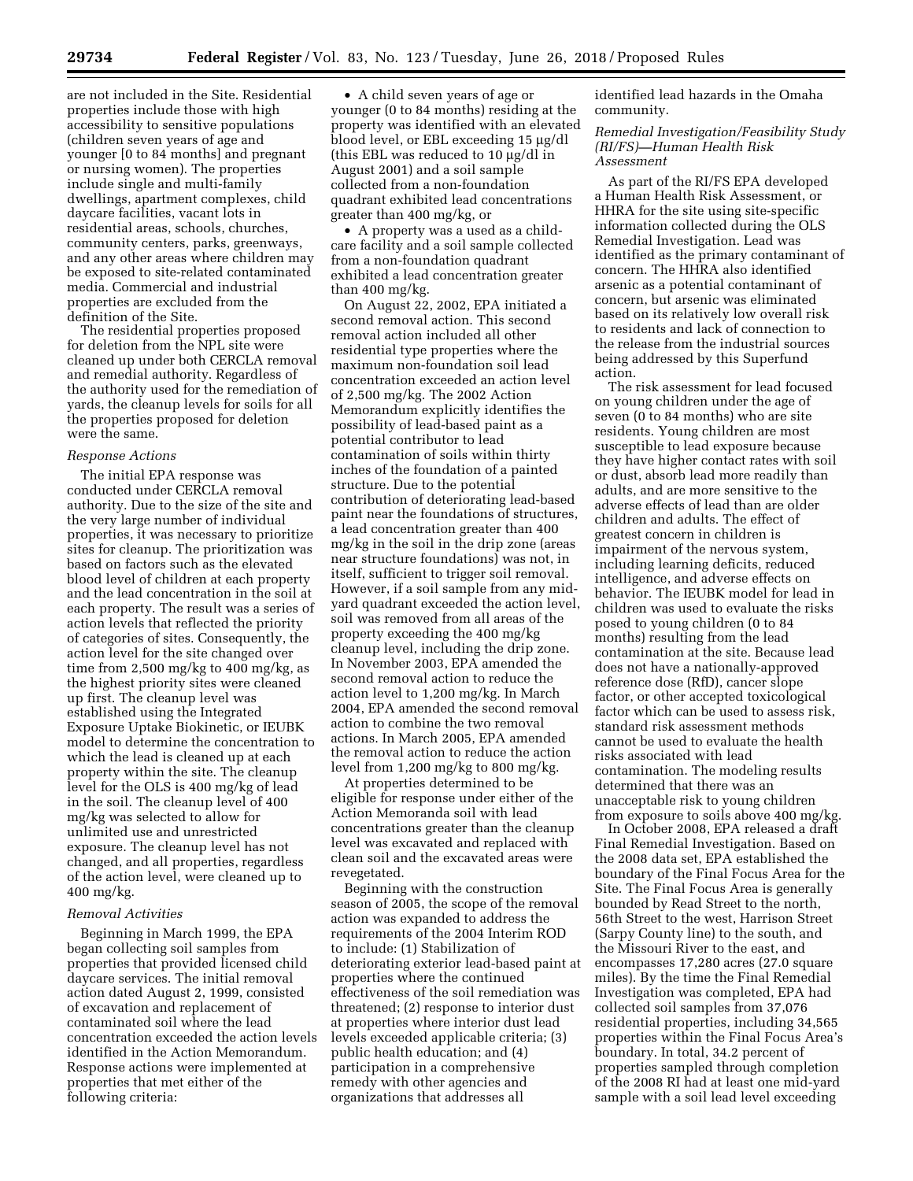are not included in the Site. Residential properties include those with high accessibility to sensitive populations (children seven years of age and younger [0 to 84 months] and pregnant or nursing women). The properties include single and multi-family dwellings, apartment complexes, child daycare facilities, vacant lots in residential areas, schools, churches, community centers, parks, greenways, and any other areas where children may be exposed to site-related contaminated media. Commercial and industrial properties are excluded from the definition of the Site.

The residential properties proposed for deletion from the NPL site were cleaned up under both CERCLA removal and remedial authority. Regardless of the authority used for the remediation of yards, the cleanup levels for soils for all the properties proposed for deletion were the same.

### *Response Actions*

The initial EPA response was conducted under CERCLA removal authority. Due to the size of the site and the very large number of individual properties, it was necessary to prioritize sites for cleanup. The prioritization was based on factors such as the elevated blood level of children at each property and the lead concentration in the soil at each property. The result was a series of action levels that reflected the priority of categories of sites. Consequently, the action level for the site changed over time from 2,500 mg/kg to 400 mg/kg, as the highest priority sites were cleaned up first. The cleanup level was established using the Integrated Exposure Uptake Biokinetic, or IEUBK model to determine the concentration to which the lead is cleaned up at each property within the site. The cleanup level for the OLS is 400 mg/kg of lead in the soil. The cleanup level of 400 mg/kg was selected to allow for unlimited use and unrestricted exposure. The cleanup level has not changed, and all properties, regardless of the action level, were cleaned up to 400 mg/kg.

#### *Removal Activities*

Beginning in March 1999, the EPA began collecting soil samples from properties that provided licensed child daycare services. The initial removal action dated August 2, 1999, consisted of excavation and replacement of contaminated soil where the lead concentration exceeded the action levels identified in the Action Memorandum. Response actions were implemented at properties that met either of the following criteria:

• A child seven years of age or younger (0 to 84 months) residing at the property was identified with an elevated blood level, or EBL exceeding 15 μg/dl (this EBL was reduced to 10  $\mu$ g/dl in August 2001) and a soil sample collected from a non-foundation quadrant exhibited lead concentrations greater than 400 mg/kg, or

• A property was a used as a childcare facility and a soil sample collected from a non-foundation quadrant exhibited a lead concentration greater than 400 mg/kg.

On August 22, 2002, EPA initiated a second removal action. This second removal action included all other residential type properties where the maximum non-foundation soil lead concentration exceeded an action level of 2,500 mg/kg. The 2002 Action Memorandum explicitly identifies the possibility of lead-based paint as a potential contributor to lead contamination of soils within thirty inches of the foundation of a painted structure. Due to the potential contribution of deteriorating lead-based paint near the foundations of structures, a lead concentration greater than 400 mg/kg in the soil in the drip zone (areas near structure foundations) was not, in itself, sufficient to trigger soil removal. However, if a soil sample from any midyard quadrant exceeded the action level, soil was removed from all areas of the property exceeding the 400 mg/kg cleanup level, including the drip zone. In November 2003, EPA amended the second removal action to reduce the action level to 1,200 mg/kg. In March 2004, EPA amended the second removal action to combine the two removal actions. In March 2005, EPA amended the removal action to reduce the action level from 1,200 mg/kg to 800 mg/kg.

At properties determined to be eligible for response under either of the Action Memoranda soil with lead concentrations greater than the cleanup level was excavated and replaced with clean soil and the excavated areas were revegetated.

Beginning with the construction season of 2005, the scope of the removal action was expanded to address the requirements of the 2004 Interim ROD to include: (1) Stabilization of deteriorating exterior lead-based paint at properties where the continued effectiveness of the soil remediation was threatened; (2) response to interior dust at properties where interior dust lead levels exceeded applicable criteria; (3) public health education; and (4) participation in a comprehensive remedy with other agencies and organizations that addresses all

identified lead hazards in the Omaha community.

*Remedial Investigation/Feasibility Study (RI/FS)—Human Health Risk Assessment* 

As part of the RI/FS EPA developed a Human Health Risk Assessment, or HHRA for the site using site-specific information collected during the OLS Remedial Investigation. Lead was identified as the primary contaminant of concern. The HHRA also identified arsenic as a potential contaminant of concern, but arsenic was eliminated based on its relatively low overall risk to residents and lack of connection to the release from the industrial sources being addressed by this Superfund action.

The risk assessment for lead focused on young children under the age of seven (0 to 84 months) who are site residents. Young children are most susceptible to lead exposure because they have higher contact rates with soil or dust, absorb lead more readily than adults, and are more sensitive to the adverse effects of lead than are older children and adults. The effect of greatest concern in children is impairment of the nervous system, including learning deficits, reduced intelligence, and adverse effects on behavior. The IEUBK model for lead in children was used to evaluate the risks posed to young children (0 to 84 months) resulting from the lead contamination at the site. Because lead does not have a nationally-approved reference dose (RfD), cancer slope factor, or other accepted toxicological factor which can be used to assess risk, standard risk assessment methods cannot be used to evaluate the health risks associated with lead contamination. The modeling results determined that there was an unacceptable risk to young children from exposure to soils above 400 mg/kg.

In October 2008, EPA released a draft Final Remedial Investigation. Based on the 2008 data set, EPA established the boundary of the Final Focus Area for the Site. The Final Focus Area is generally bounded by Read Street to the north, 56th Street to the west, Harrison Street (Sarpy County line) to the south, and the Missouri River to the east, and encompasses 17,280 acres (27.0 square miles). By the time the Final Remedial Investigation was completed, EPA had collected soil samples from 37,076 residential properties, including 34,565 properties within the Final Focus Area's boundary. In total, 34.2 percent of properties sampled through completion of the 2008 RI had at least one mid-yard sample with a soil lead level exceeding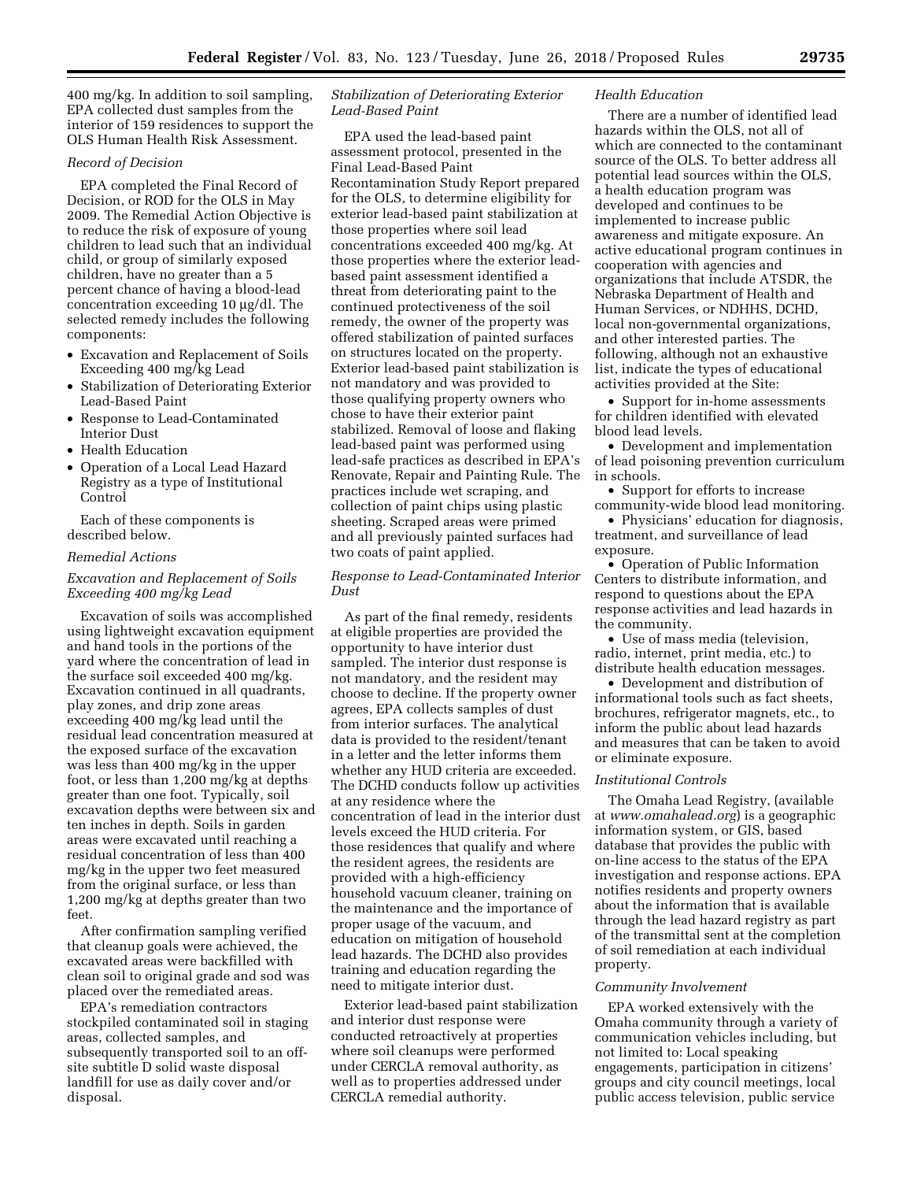400 mg/kg. In addition to soil sampling, EPA collected dust samples from the interior of 159 residences to support the OLS Human Health Risk Assessment.

### *Record of Decision*

EPA completed the Final Record of Decision, or ROD for the OLS in May 2009. The Remedial Action Objective is to reduce the risk of exposure of young children to lead such that an individual child, or group of similarly exposed children, have no greater than a 5 percent chance of having a blood-lead concentration exceeding 10 µg/dl. The selected remedy includes the following components:

- Excavation and Replacement of Soils Exceeding 400 mg/kg Lead
- Stabilization of Deteriorating Exterior Lead-Based Paint
- Response to Lead-Contaminated Interior Dust
- Health Education
- Operation of a Local Lead Hazard Registry as a type of Institutional Control

Each of these components is described below.

#### *Remedial Actions*

# *Excavation and Replacement of Soils Exceeding 400 mg/kg Lead*

Excavation of soils was accomplished using lightweight excavation equipment and hand tools in the portions of the yard where the concentration of lead in the surface soil exceeded 400 mg/kg. Excavation continued in all quadrants, play zones, and drip zone areas exceeding 400 mg/kg lead until the residual lead concentration measured at the exposed surface of the excavation was less than 400 mg/kg in the upper foot, or less than 1,200 mg/kg at depths greater than one foot. Typically, soil excavation depths were between six and ten inches in depth. Soils in garden areas were excavated until reaching a residual concentration of less than 400 mg/kg in the upper two feet measured from the original surface, or less than 1,200 mg/kg at depths greater than two feet.

After confirmation sampling verified that cleanup goals were achieved, the excavated areas were backfilled with clean soil to original grade and sod was placed over the remediated areas.

EPA's remediation contractors stockpiled contaminated soil in staging areas, collected samples, and subsequently transported soil to an offsite subtitle D solid waste disposal landfill for use as daily cover and/or disposal.

# *Stabilization of Deteriorating Exterior Lead-Based Paint*

EPA used the lead-based paint assessment protocol, presented in the Final Lead-Based Paint Recontamination Study Report prepared for the OLS, to determine eligibility for exterior lead-based paint stabilization at those properties where soil lead concentrations exceeded 400 mg/kg. At those properties where the exterior leadbased paint assessment identified a threat from deteriorating paint to the continued protectiveness of the soil remedy, the owner of the property was offered stabilization of painted surfaces on structures located on the property. Exterior lead-based paint stabilization is not mandatory and was provided to those qualifying property owners who chose to have their exterior paint stabilized. Removal of loose and flaking lead-based paint was performed using lead-safe practices as described in EPA's Renovate, Repair and Painting Rule. The practices include wet scraping, and collection of paint chips using plastic sheeting. Scraped areas were primed and all previously painted surfaces had two coats of paint applied.

# *Response to Lead-Contaminated Interior Dust*

As part of the final remedy, residents at eligible properties are provided the opportunity to have interior dust sampled. The interior dust response is not mandatory, and the resident may choose to decline. If the property owner agrees, EPA collects samples of dust from interior surfaces. The analytical data is provided to the resident/tenant in a letter and the letter informs them whether any HUD criteria are exceeded. The DCHD conducts follow up activities at any residence where the concentration of lead in the interior dust levels exceed the HUD criteria. For those residences that qualify and where the resident agrees, the residents are provided with a high-efficiency household vacuum cleaner, training on the maintenance and the importance of proper usage of the vacuum, and education on mitigation of household lead hazards. The DCHD also provides training and education regarding the need to mitigate interior dust.

Exterior lead-based paint stabilization and interior dust response were conducted retroactively at properties where soil cleanups were performed under CERCLA removal authority, as well as to properties addressed under CERCLA remedial authority.

#### *Health Education*

There are a number of identified lead hazards within the OLS, not all of which are connected to the contaminant source of the OLS. To better address all potential lead sources within the OLS, a health education program was developed and continues to be implemented to increase public awareness and mitigate exposure. An active educational program continues in cooperation with agencies and organizations that include ATSDR, the Nebraska Department of Health and Human Services, or NDHHS, DCHD, local non-governmental organizations, and other interested parties. The following, although not an exhaustive list, indicate the types of educational activities provided at the Site:

• Support for in-home assessments for children identified with elevated blood lead levels.

• Development and implementation of lead poisoning prevention curriculum in schools.

• Support for efforts to increase community-wide blood lead monitoring.

• Physicians' education for diagnosis, treatment, and surveillance of lead exposure.

• Operation of Public Information Centers to distribute information, and respond to questions about the EPA response activities and lead hazards in the community.

• Use of mass media (television, radio, internet, print media, etc.) to distribute health education messages.

• Development and distribution of informational tools such as fact sheets, brochures, refrigerator magnets, etc., to inform the public about lead hazards and measures that can be taken to avoid or eliminate exposure.

#### *Institutional Controls*

The Omaha Lead Registry, (available at *[www.omahalead.org](http://www.omahalead.org)*) is a geographic information system, or GIS, based database that provides the public with on-line access to the status of the EPA investigation and response actions. EPA notifies residents and property owners about the information that is available through the lead hazard registry as part of the transmittal sent at the completion of soil remediation at each individual property.

### *Community Involvement*

EPA worked extensively with the Omaha community through a variety of communication vehicles including, but not limited to: Local speaking engagements, participation in citizens' groups and city council meetings, local public access television, public service